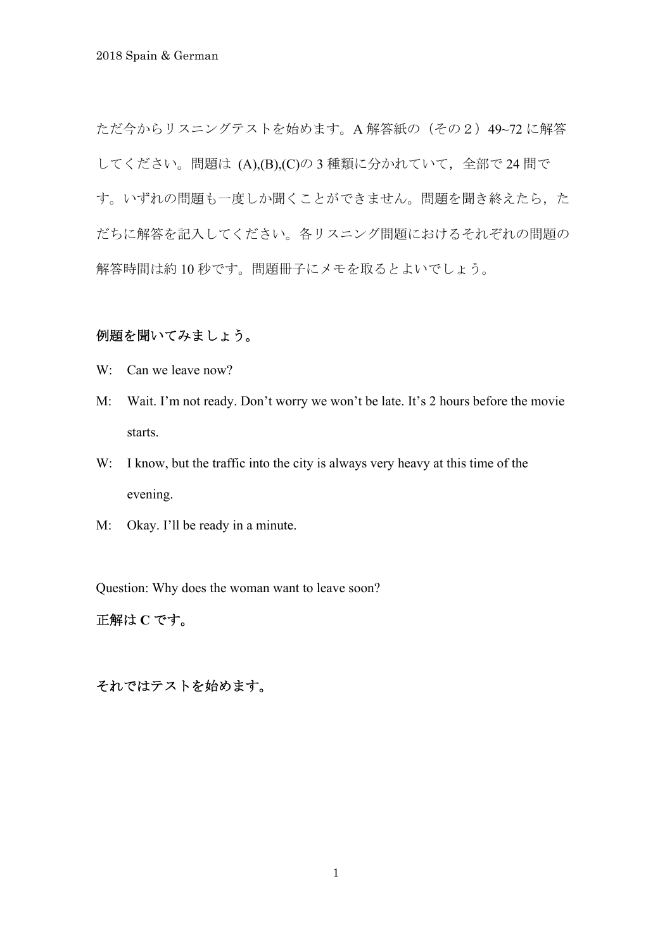ただ今からリスニングテストを始めます。A 解答紙の (その2) 49~72 に解答 してください。問題は (A),(B),(C)の3種類に分かれていて、全部で24 問で す。いずれの問題も一度しか聞くことができません。問題を聞き終えたら、た だちに解答を記入してください。各リスニング問題におけるそれぞれの問題の 解答時間は約 10 秒です。問題冊子にメモを取るとよいでしょう。

# 例題を聞いてみましょう。

- W: Can we leave now?
- M: Wait. I'm not ready. Don't worry we won't be late. It's 2 hours before the movie starts.
- W: I know, but the traffic into the city is always very heavy at this time of the evening.
- M: Okay. I'll be ready in a minute.

Question: Why does the woman want to leave soon?

正解は **C** です。

それではテストを始めます。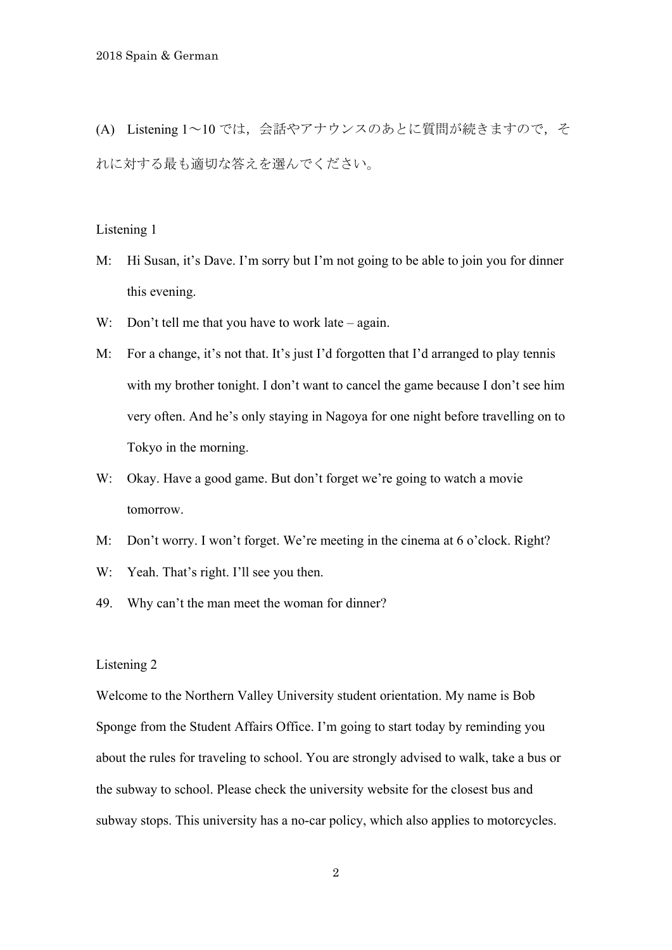(A) Listening 1~10 では,会話やアナウンスのあとに質問が続きますので,そ れに対する最も適切な答えを選んでください。

## Listening 1

- M: Hi Susan, it's Dave. I'm sorry but I'm not going to be able to join you for dinner this evening.
- W: Don't tell me that you have to work late again.
- M: For a change, it's not that. It's just I'd forgotten that I'd arranged to play tennis with my brother tonight. I don't want to cancel the game because I don't see him very often. And he's only staying in Nagoya for one night before travelling on to Tokyo in the morning.
- W: Okay. Have a good game. But don't forget we're going to watch a movie tomorrow.
- M: Don't worry. I won't forget. We're meeting in the cinema at 6 o'clock. Right?
- W: Yeah. That's right. I'll see you then.
- 49. Why can't the man meet the woman for dinner?

## Listening 2

Welcome to the Northern Valley University student orientation. My name is Bob Sponge from the Student Affairs Office. I'm going to start today by reminding you about the rules for traveling to school. You are strongly advised to walk, take a bus or the subway to school. Please check the university website for the closest bus and subway stops. This university has a no-car policy, which also applies to motorcycles.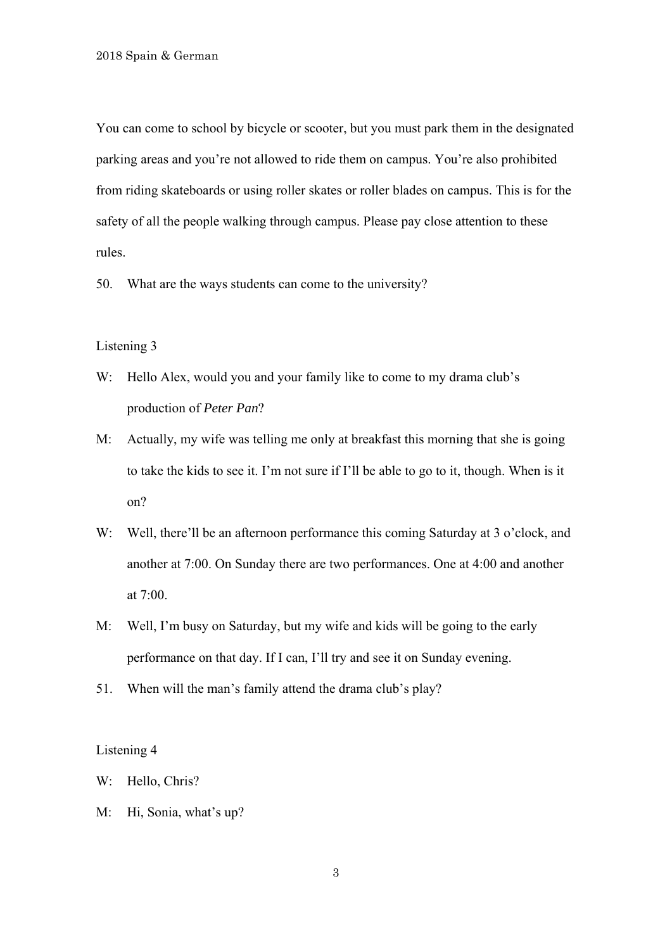You can come to school by bicycle or scooter, but you must park them in the designated parking areas and you're not allowed to ride them on campus. You're also prohibited from riding skateboards or using roller skates or roller blades on campus. This is for the safety of all the people walking through campus. Please pay close attention to these rules.

50. What are the ways students can come to the university?

#### Listening 3

- W: Hello Alex, would you and your family like to come to my drama club's production of *Peter Pan*?
- M: Actually, my wife was telling me only at breakfast this morning that she is going to take the kids to see it. I'm not sure if I'll be able to go to it, though. When is it on?
- W: Well, there'll be an afternoon performance this coming Saturday at 3 o'clock, and another at 7:00. On Sunday there are two performances. One at 4:00 and another at 7:00.
- M: Well, I'm busy on Saturday, but my wife and kids will be going to the early performance on that day. If I can, I'll try and see it on Sunday evening.
- 51. When will the man's family attend the drama club's play?

- W: Hello, Chris?
- M: Hi, Sonia, what's up?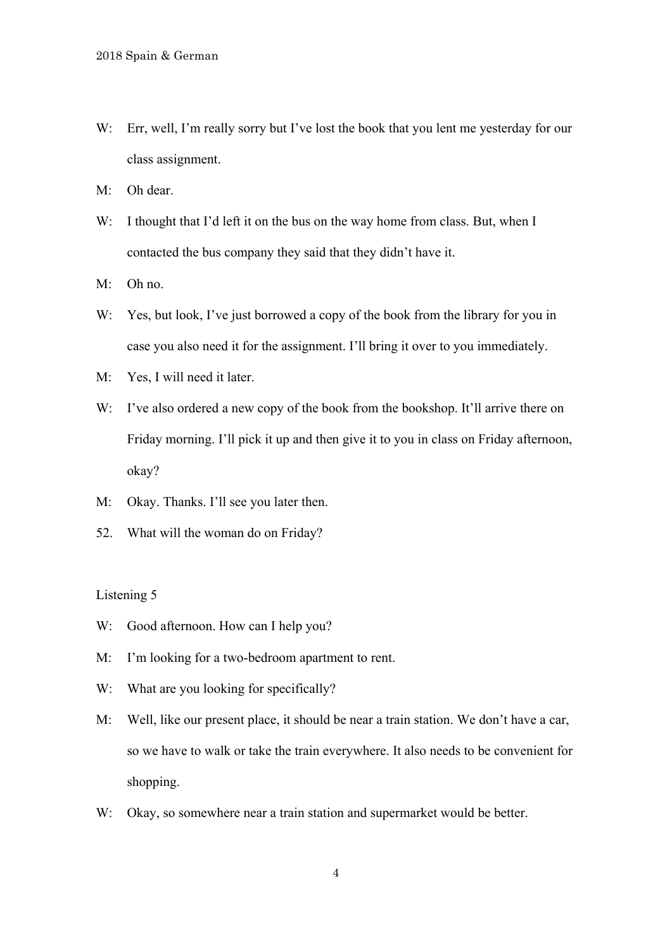- W: Err, well, I'm really sorry but I've lost the book that you lent me yesterday for our class assignment.
- M: Oh dear.
- W: I thought that I'd left it on the bus on the way home from class. But, when I contacted the bus company they said that they didn't have it.
- M: Oh no.
- W: Yes, but look, I've just borrowed a copy of the book from the library for you in case you also need it for the assignment. I'll bring it over to you immediately.
- M: Yes, I will need it later.
- W: I've also ordered a new copy of the book from the bookshop. It'll arrive there on Friday morning. I'll pick it up and then give it to you in class on Friday afternoon, okay?
- M: Okay. Thanks. I'll see you later then.
- 52. What will the woman do on Friday?

- W: Good afternoon. How can I help you?
- M: I'm looking for a two-bedroom apartment to rent.
- W: What are you looking for specifically?
- M: Well, like our present place, it should be near a train station. We don't have a car, so we have to walk or take the train everywhere. It also needs to be convenient for shopping.
- W: Okay, so somewhere near a train station and supermarket would be better.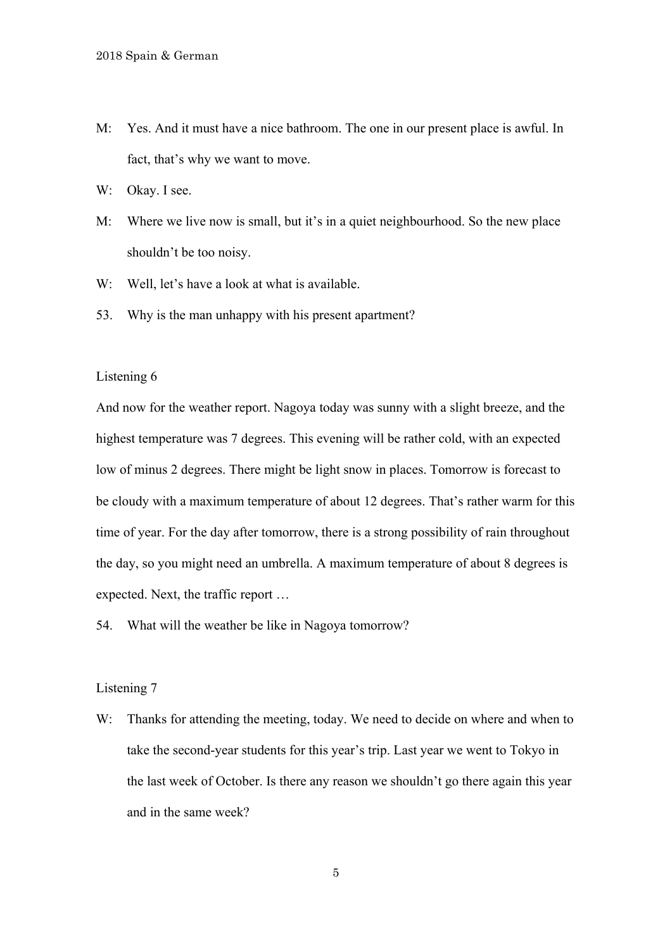- M: Yes. And it must have a nice bathroom. The one in our present place is awful. In fact, that's why we want to move.
- W: Okay. I see.
- M: Where we live now is small, but it's in a quiet neighbourhood. So the new place shouldn't be too noisy.
- W: Well, let's have a look at what is available.
- 53. Why is the man unhappy with his present apartment?

And now for the weather report. Nagoya today was sunny with a slight breeze, and the highest temperature was 7 degrees. This evening will be rather cold, with an expected low of minus 2 degrees. There might be light snow in places. Tomorrow is forecast to be cloudy with a maximum temperature of about 12 degrees. That's rather warm for this time of year. For the day after tomorrow, there is a strong possibility of rain throughout the day, so you might need an umbrella. A maximum temperature of about 8 degrees is expected. Next, the traffic report …

54. What will the weather be like in Nagoya tomorrow?

## Listening 7

W: Thanks for attending the meeting, today. We need to decide on where and when to take the second-year students for this year's trip. Last year we went to Tokyo in the last week of October. Is there any reason we shouldn't go there again this year and in the same week?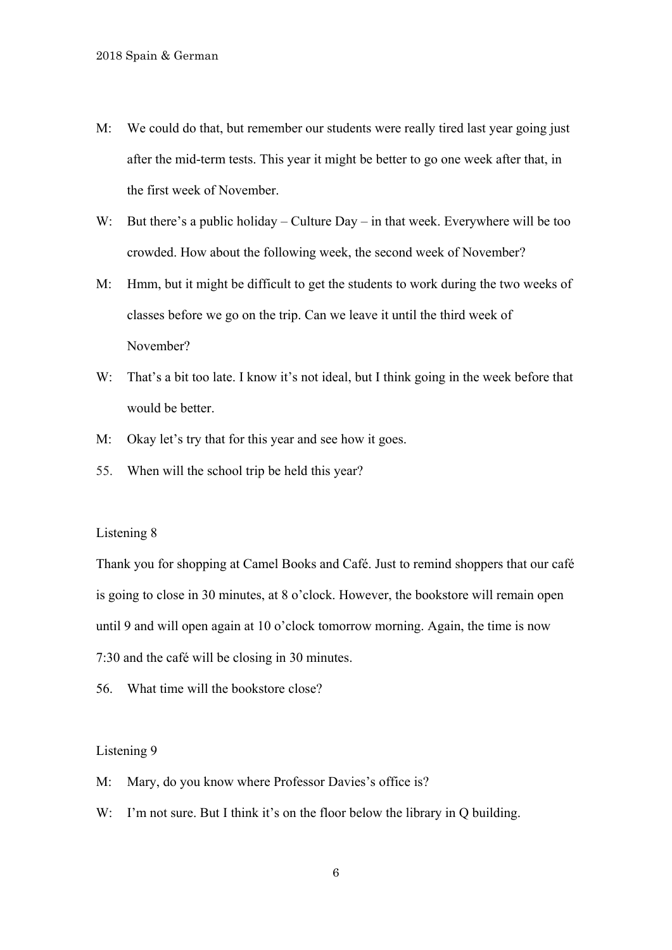- M: We could do that, but remember our students were really tired last year going just after the mid-term tests. This year it might be better to go one week after that, in the first week of November.
- W: But there's a public holiday Culture Day in that week. Everywhere will be too crowded. How about the following week, the second week of November?
- M: Hmm, but it might be difficult to get the students to work during the two weeks of classes before we go on the trip. Can we leave it until the third week of November?
- W: That's a bit too late. I know it's not ideal, but I think going in the week before that would be better.
- M: Okay let's try that for this year and see how it goes.
- 55. When will the school trip be held this year?

Thank you for shopping at Camel Books and Café. Just to remind shoppers that our café is going to close in 30 minutes, at 8 o'clock. However, the bookstore will remain open until 9 and will open again at 10 o'clock tomorrow morning. Again, the time is now 7:30 and the café will be closing in 30 minutes.

56. What time will the bookstore close?

- M: Mary, do you know where Professor Davies's office is?
- W: I'm not sure. But I think it's on the floor below the library in Q building.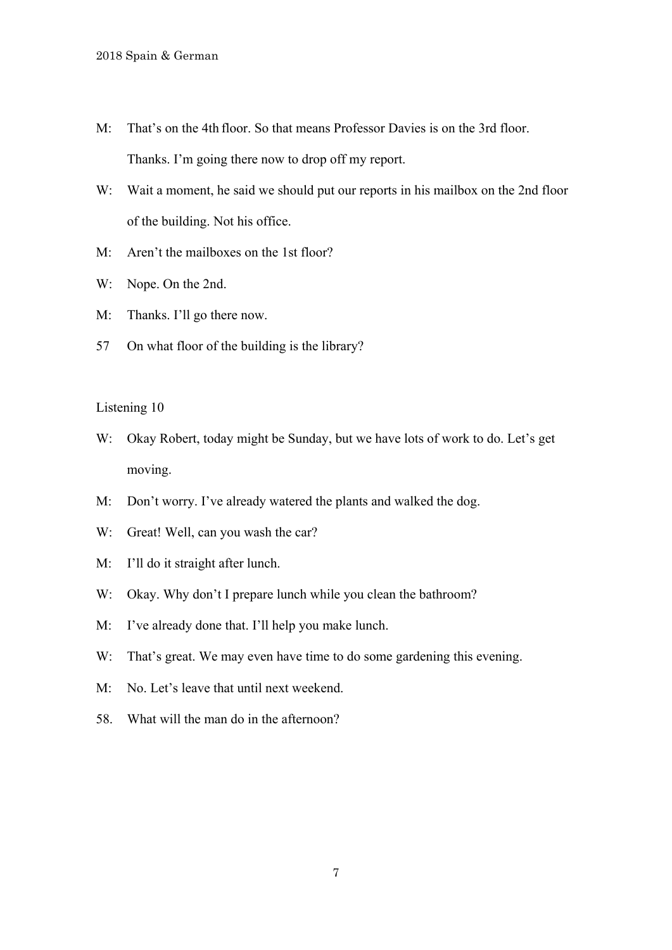- M: That's on the 4th floor. So that means Professor Davies is on the 3rd floor. Thanks. I'm going there now to drop off my report.
- W: Wait a moment, he said we should put our reports in his mailbox on the 2nd floor of the building. Not his office.
- M: Aren't the mailboxes on the 1st floor?
- W: Nope. On the 2nd.
- M: Thanks. I'll go there now.
- 57 On what floor of the building is the library?

- W: Okay Robert, today might be Sunday, but we have lots of work to do. Let's get moving.
- M: Don't worry. I've already watered the plants and walked the dog.
- W: Great! Well, can you wash the car?
- M: I'll do it straight after lunch.
- W: Okay. Why don't I prepare lunch while you clean the bathroom?
- M: I've already done that. I'll help you make lunch.
- W: That's great. We may even have time to do some gardening this evening.
- M: No. Let's leave that until next weekend.
- 58. What will the man do in the afternoon?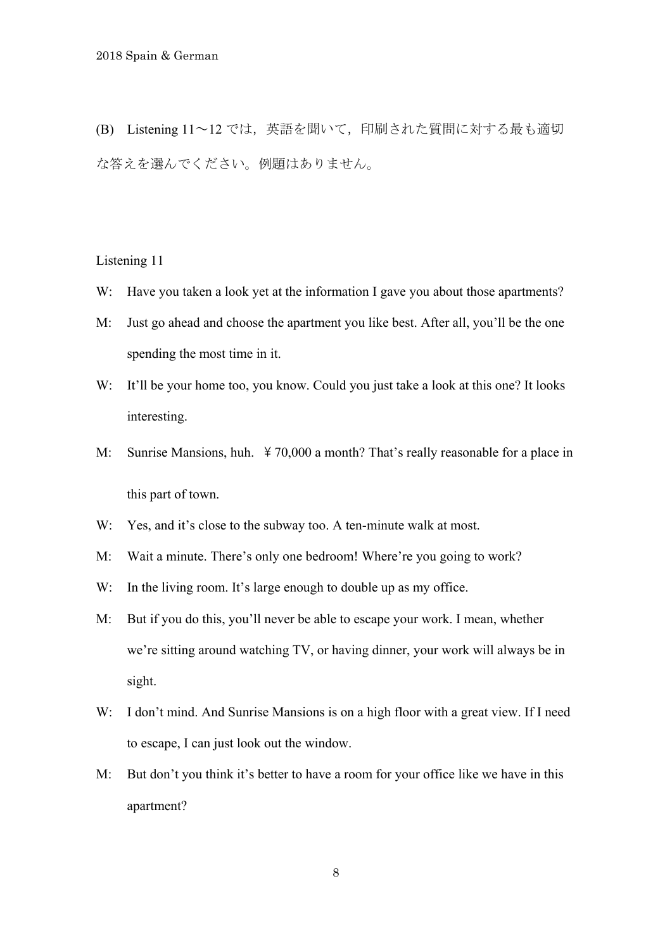(B) Listening 11~12 では,英語を聞いて,印刷された質問に対する最も適切 な答えを選んでください。例題はありません。

Listening 11

- W: Have you taken a look yet at the information I gave you about those apartments?
- M: Just go ahead and choose the apartment you like best. After all, you'll be the one spending the most time in it.
- W: It'll be your home too, you know. Could you just take a look at this one? It looks interesting.
- M: Sunrise Mansions, huh. \times 70,000 a month? That's really reasonable for a place in this part of town.
- W: Yes, and it's close to the subway too. A ten-minute walk at most.
- M: Wait a minute. There's only one bedroom! Where're you going to work?
- W: In the living room. It's large enough to double up as my office.
- M: But if you do this, you'll never be able to escape your work. I mean, whether we're sitting around watching TV, or having dinner, your work will always be in sight.
- W: I don't mind. And Sunrise Mansions is on a high floor with a great view. If I need to escape, I can just look out the window.
- M: But don't you think it's better to have a room for your office like we have in this apartment?

8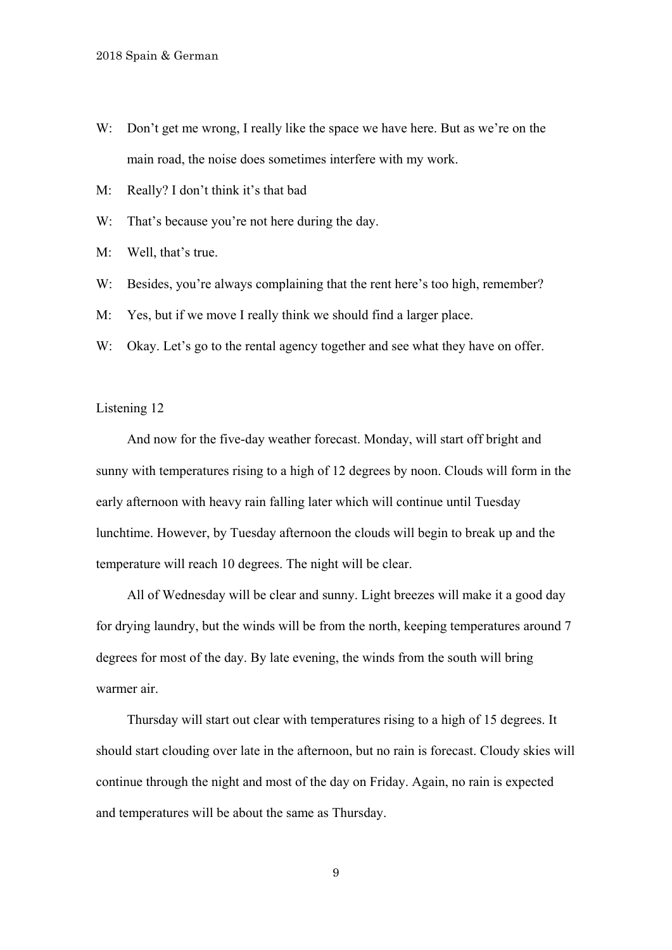- W: Don't get me wrong, I really like the space we have here. But as we're on the main road, the noise does sometimes interfere with my work.
- M: Really? I don't think it's that bad
- W: That's because you're not here during the day.
- M: Well, that's true.
- W: Besides, you're always complaining that the rent here's too high, remember?
- M: Yes, but if we move I really think we should find a larger place.
- W: Okay. Let's go to the rental agency together and see what they have on offer.

 And now for the five-day weather forecast. Monday, will start off bright and sunny with temperatures rising to a high of 12 degrees by noon. Clouds will form in the early afternoon with heavy rain falling later which will continue until Tuesday lunchtime. However, by Tuesday afternoon the clouds will begin to break up and the temperature will reach 10 degrees. The night will be clear.

 All of Wednesday will be clear and sunny. Light breezes will make it a good day for drying laundry, but the winds will be from the north, keeping temperatures around 7 degrees for most of the day. By late evening, the winds from the south will bring warmer air.

 Thursday will start out clear with temperatures rising to a high of 15 degrees. It should start clouding over late in the afternoon, but no rain is forecast. Cloudy skies will continue through the night and most of the day on Friday. Again, no rain is expected and temperatures will be about the same as Thursday.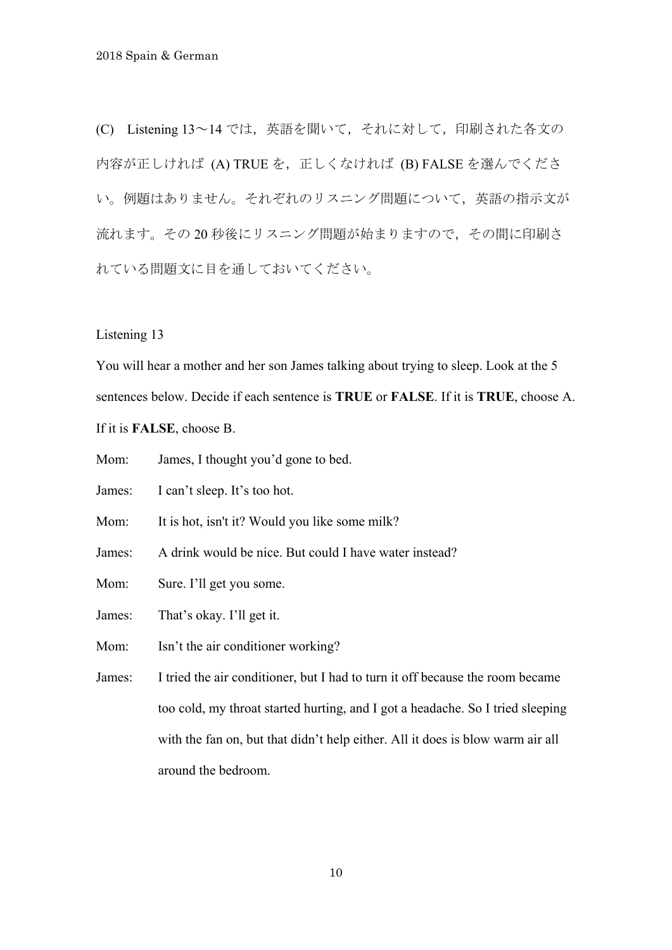(C) Listening 13~14 では,英語を聞いて,それに対して,印刷された各文の 内容が正しければ (A) TRUE を、正しくなければ (B) FALSE を選んでくださ い。例題はありません。それぞれのリスニング問題について,英語の指示文が 流れます。その20秒後にリスニング問題が始まりますので、その間に印刷さ れている問題文に目を通しておいてください。

Listening 13

You will hear a mother and her son James talking about trying to sleep. Look at the 5 sentences below. Decide if each sentence is **TRUE** or **FALSE**. If it is **TRUE**, choose A. If it is **FALSE**, choose B.

Mom: James, I thought you'd gone to bed.

James: I can't sleep. It's too hot.

Mom: It is hot, isn't it? Would you like some milk?

James: A drink would be nice. But could I have water instead?

Mom: Sure. I'll get you some.

James: That's okay. I'll get it.

Mom: Isn't the air conditioner working?

James: I tried the air conditioner, but I had to turn it off because the room became too cold, my throat started hurting, and I got a headache. So I tried sleeping with the fan on, but that didn't help either. All it does is blow warm air all around the bedroom.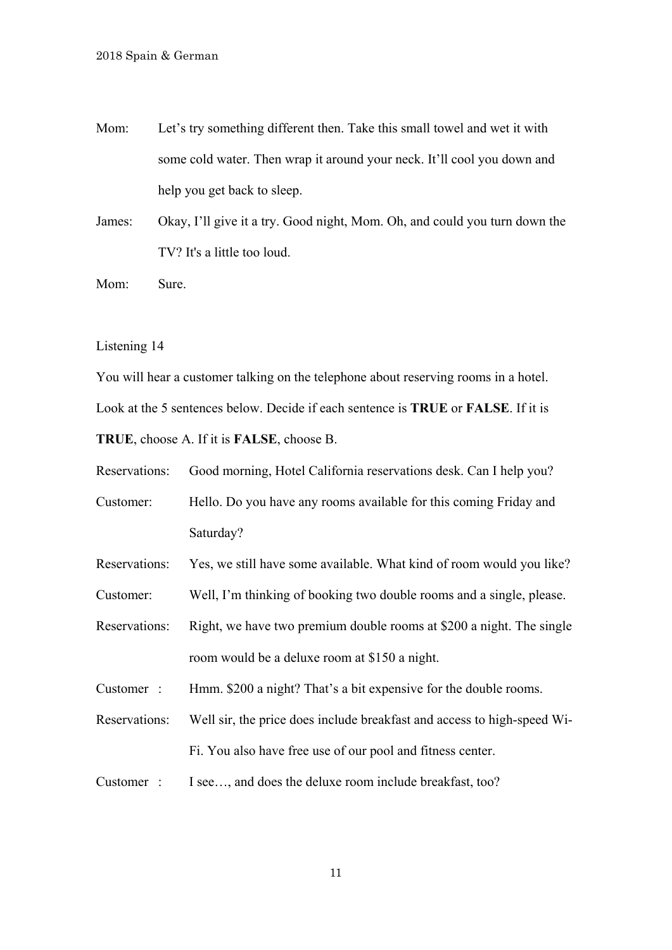Mom: Let's try something different then. Take this small towel and wet it with some cold water. Then wrap it around your neck. It'll cool you down and help you get back to sleep.

James: Okay, I'll give it a try. Good night, Mom. Oh, and could you turn down the TV? It's a little too loud.

Mom: Sure.

Listening 14

You will hear a customer talking on the telephone about reserving rooms in a hotel. Look at the 5 sentences below. Decide if each sentence is **TRUE** or **FALSE**. If it is **TRUE**, choose A. If it is **FALSE**, choose B.

Reservations: Good morning, Hotel California reservations desk. Can I help you?

Customer: Hello. Do you have any rooms available for this coming Friday and Saturday?

Reservations: Yes, we still have some available. What kind of room would you like?

Customer: Well, I'm thinking of booking two double rooms and a single, please.

Reservations: Right, we have two premium double rooms at \$200 a night. The single room would be a deluxe room at \$150 a night.

Customer : Hmm. \$200 a night? That's a bit expensive for the double rooms.

Reservations: Well sir, the price does include breakfast and access to high-speed Wi-Fi. You also have free use of our pool and fitness center.

Customer : I see…, and does the deluxe room include breakfast, too?

11